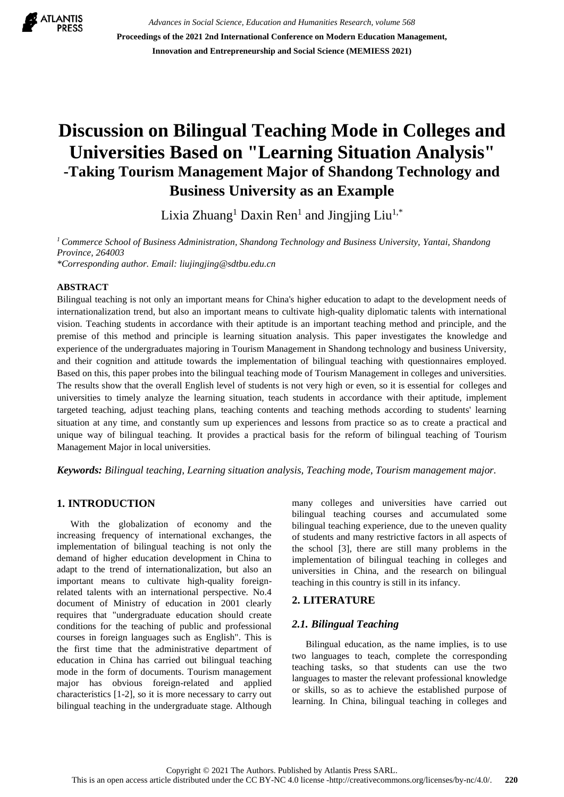

*Advances in Social Science, Education and Humanities Research, volume 568* **Proceedings of the 2021 2nd International Conference on Modern Education Management, Innovation and Entrepreneurship and Social Science (MEMIESS 2021)**

# **Discussion on Bilingual Teaching Mode in Colleges and Universities Based on "Learning Situation Analysis" -Taking Tourism Management Major of Shandong Technology and Business University as an Example**

Lixia Zhuang<sup>1</sup> Daxin Ren<sup>1</sup> and Jingjing Liu<sup>1,\*</sup>

*<sup>1</sup> Commerce School of Business Administration, Shandong Technology and Business University, Yantai, Shandong Province, 264003*

*\*Corresponding author. Email: liujingjing@sdtbu.edu.cn*

#### **ABSTRACT**

Bilingual teaching is not only an important means for China's higher education to adapt to the development needs of internationalization trend, but also an important means to cultivate high-quality diplomatic talents with international vision. Teaching students in accordance with their aptitude is an important teaching method and principle, and the premise of this method and principle is learning situation analysis. This paper investigates the knowledge and experience of the undergraduates majoring in Tourism Management in Shandong technology and business University, and their cognition and attitude towards the implementation of bilingual teaching with questionnaires employed. Based on this, this paper probes into the bilingual teaching mode of Tourism Management in colleges and universities. The results show that the overall English level of students is not very high or even, so it is essential for colleges and universities to timely analyze the learning situation, teach students in accordance with their aptitude, implement targeted teaching, adjust teaching plans, teaching contents and teaching methods according to students' learning situation at any time, and constantly sum up experiences and lessons from practice so as to create a practical and unique way of bilingual teaching. It provides a practical basis for the reform of bilingual teaching of Tourism Management Major in local universities.

*Keywords: Bilingual teaching, Learning situation analysis, Teaching mode, Tourism management major.*

# **1. INTRODUCTION**

With the globalization of economy and the increasing frequency of international exchanges, the implementation of bilingual teaching is not only the demand of higher education development in China to adapt to the trend of internationalization, but also an important means to cultivate high-quality foreignrelated talents with an international perspective. No.4 document of Ministry of education in 2001 clearly requires that "undergraduate education should create conditions for the teaching of public and professional courses in foreign languages such as English". This is the first time that the administrative department of education in China has carried out bilingual teaching mode in the form of documents. Tourism management major has obvious foreign-related and applied characteristics [1-2], so it is more necessary to carry out bilingual teaching in the undergraduate stage. Although many colleges and universities have carried out bilingual teaching courses and accumulated some bilingual teaching experience, due to the uneven quality of students and many restrictive factors in all aspects of the school [3], there are still many problems in the implementation of bilingual teaching in colleges and universities in China, and the research on bilingual teaching in this country is still in its infancy.

#### **2. LITERATURE**

#### *2.1. Bilingual Teaching*

Bilingual education, as the name implies, is to use two languages to teach, complete the corresponding teaching tasks, so that students can use the two languages to master the relevant professional knowledge or skills, so as to achieve the established purpose of learning. In China, bilingual teaching in colleges and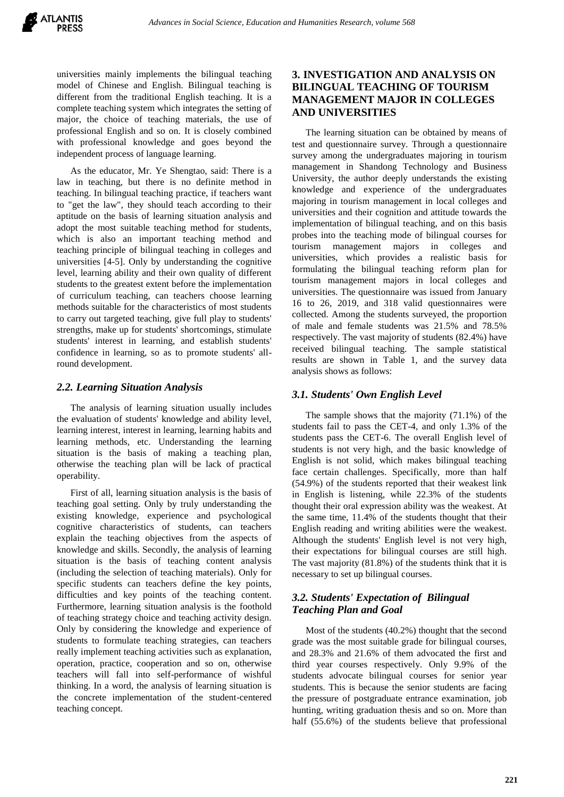universities mainly implements the bilingual teaching model of Chinese and English. Bilingual teaching is different from the traditional English teaching. It is a complete teaching system which integrates the setting of major, the choice of teaching materials, the use of professional English and so on. It is closely combined with professional knowledge and goes beyond the independent process of language learning.

As the educator, Mr. Ye Shengtao, said: There is a law in teaching, but there is no definite method in teaching. In bilingual teaching practice, if teachers want to "get the law", they should teach according to their aptitude on the basis of learning situation analysis and adopt the most suitable teaching method for students, which is also an important teaching method and teaching principle of bilingual teaching in colleges and universities [4-5]. Only by understanding the cognitive level, learning ability and their own quality of different students to the greatest extent before the implementation of curriculum teaching, can teachers choose learning methods suitable for the characteristics of most students to carry out targeted teaching, give full play to students' strengths, make up for students' shortcomings, stimulate students' interest in learning, and establish students' confidence in learning, so as to promote students' allround development.

#### *2.2. Learning Situation Analysis*

The analysis of learning situation usually includes the evaluation of students' knowledge and ability level, learning interest, interest in learning, learning habits and learning methods, etc. Understanding the learning situation is the basis of making a teaching plan, otherwise the teaching plan will be lack of practical operability.

First of all, learning situation analysis is the basis of teaching goal setting. Only by truly understanding the existing knowledge, experience and psychological cognitive characteristics of students, can teachers explain the teaching objectives from the aspects of knowledge and skills. Secondly, the analysis of learning situation is the basis of teaching content analysis (including the selection of teaching materials). Only for specific students can teachers define the key points, difficulties and key points of the teaching content. Furthermore, learning situation analysis is the foothold of teaching strategy choice and teaching activity design. Only by considering the knowledge and experience of students to formulate teaching strategies, can teachers really implement teaching activities such as explanation, operation, practice, cooperation and so on, otherwise teachers will fall into self-performance of wishful thinking. In a word, the analysis of learning situation is the concrete implementation of the student-centered teaching concept.

## **3. INVESTIGATION AND ANALYSIS ON BILINGUAL TEACHING OF TOURISM MANAGEMENT MAJOR IN COLLEGES AND UNIVERSITIES**

The learning situation can be obtained by means of test and questionnaire survey. Through a questionnaire survey among the undergraduates majoring in tourism management in Shandong Technology and Business University, the author deeply understands the existing knowledge and experience of the undergraduates majoring in tourism management in local colleges and universities and their cognition and attitude towards the implementation of bilingual teaching, and on this basis probes into the teaching mode of bilingual courses for tourism management majors in colleges and universities, which provides a realistic basis for formulating the bilingual teaching reform plan for tourism management majors in local colleges and universities. The questionnaire was issued from January 16 to 26, 2019, and 318 valid questionnaires were collected. Among the students surveyed, the proportion of male and female students was 21.5% and 78.5% respectively. The vast majority of students (82.4%) have received bilingual teaching. The sample statistical results are shown in Table 1, and the survey data analysis shows as follows:

### *3.1. Students' Own English Level*

The sample shows that the majority (71.1%) of the students fail to pass the CET-4, and only 1.3% of the students pass the CET-6. The overall English level of students is not very high, and the basic knowledge of English is not solid, which makes bilingual teaching face certain challenges. Specifically, more than half (54.9%) of the students reported that their weakest link in English is listening, while 22.3% of the students thought their oral expression ability was the weakest. At the same time, 11.4% of the students thought that their English reading and writing abilities were the weakest. Although the students' English level is not very high, their expectations for bilingual courses are still high. The vast majority (81.8%) of the students think that it is necessary to set up bilingual courses.

## *3.2. Students' Expectation of Bilingual Teaching Plan and Goal*

Most of the students (40.2%) thought that the second grade was the most suitable grade for bilingual courses, and 28.3% and 21.6% of them advocated the first and third year courses respectively. Only 9.9% of the students advocate bilingual courses for senior year students. This is because the senior students are facing the pressure of postgraduate entrance examination, job hunting, writing graduation thesis and so on. More than half (55.6%) of the students believe that professional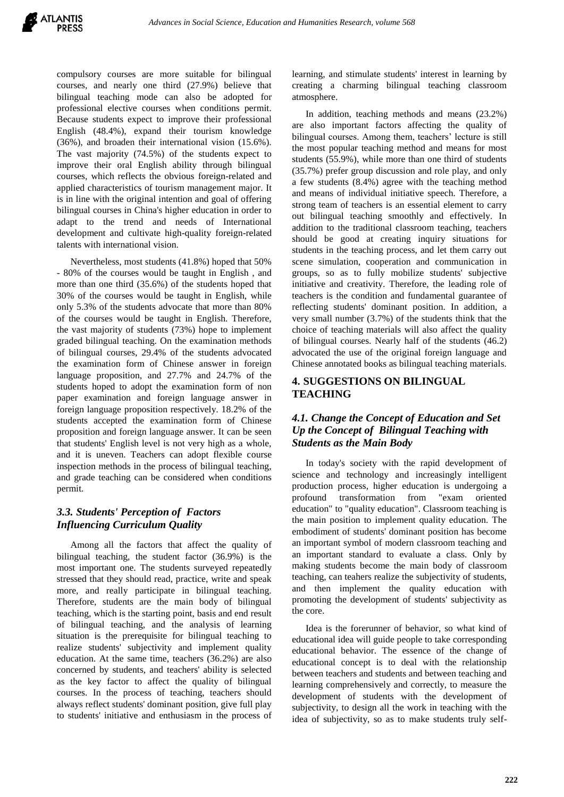

compulsory courses are more suitable for bilingual courses, and nearly one third (27.9%) believe that bilingual teaching mode can also be adopted for professional elective courses when conditions permit. Because students expect to improve their professional English (48.4%), expand their tourism knowledge (36%), and broaden their international vision (15.6%). The vast majority (74.5%) of the students expect to improve their oral English ability through bilingual courses, which reflects the obvious foreign-related and applied characteristics of tourism management major. It is in line with the original intention and goal of offering bilingual courses in China's higher education in order to adapt to the trend and needs of International development and cultivate high-quality foreign-related talents with international vision.

Nevertheless, most students (41.8%) hoped that 50% - 80% of the courses would be taught in English , and more than one third (35.6%) of the students hoped that 30% of the courses would be taught in English, while only 5.3% of the students advocate that more than 80% of the courses would be taught in English. Therefore, the vast majority of students (73%) hope to implement graded bilingual teaching. On the examination methods of bilingual courses, 29.4% of the students advocated the examination form of Chinese answer in foreign language proposition, and 27.7% and 24.7% of the students hoped to adopt the examination form of non paper examination and foreign language answer in foreign language proposition respectively. 18.2% of the students accepted the examination form of Chinese proposition and foreign language answer. It can be seen that students' English level is not very high as a whole, and it is uneven. Teachers can adopt flexible course inspection methods in the process of bilingual teaching, and grade teaching can be considered when conditions permit.

# *3.3. Students' Perception of Factors Influencing Curriculum Quality*

Among all the factors that affect the quality of bilingual teaching, the student factor (36.9%) is the most important one. The students surveyed repeatedly stressed that they should read, practice, write and speak more, and really participate in bilingual teaching. Therefore, students are the main body of bilingual teaching, which is the starting point, basis and end result of bilingual teaching, and the analysis of learning situation is the prerequisite for bilingual teaching to realize students' subjectivity and implement quality education. At the same time, teachers (36.2%) are also concerned by students, and teachers' ability is selected as the key factor to affect the quality of bilingual courses. In the process of teaching, teachers should always reflect students' dominant position, give full play to students' initiative and enthusiasm in the process of learning, and stimulate students' interest in learning by creating a charming bilingual teaching classroom atmosphere.

In addition, teaching methods and means (23.2%) are also important factors affecting the quality of bilingual courses. Among them, teachers' lecture is still the most popular teaching method and means for most students (55.9%), while more than one third of students (35.7%) prefer group discussion and role play, and only a few students (8.4%) agree with the teaching method and means of individual initiative speech. Therefore, a strong team of teachers is an essential element to carry out bilingual teaching smoothly and effectively. In addition to the traditional classroom teaching, teachers should be good at creating inquiry situations for students in the teaching process, and let them carry out scene simulation, cooperation and communication in groups, so as to fully mobilize students' subjective initiative and creativity. Therefore, the leading role of teachers is the condition and fundamental guarantee of reflecting students' dominant position. In addition, a very small number (3.7%) of the students think that the choice of teaching materials will also affect the quality of bilingual courses. Nearly half of the students (46.2) advocated the use of the original foreign language and Chinese annotated books as bilingual teaching materials.

# **4. SUGGESTIONS ON BILINGUAL TEACHING**

## *4.1. Change the Concept of Education and Set Up the Concept of Bilingual Teaching with Students as the Main Body*

In today's society with the rapid development of science and technology and increasingly intelligent production process, higher education is undergoing a profound transformation from "exam oriented education" to "quality education". Classroom teaching is the main position to implement quality education. The embodiment of students' dominant position has become an important symbol of modern classroom teaching and an important standard to evaluate a class. Only by making students become the main body of classroom teaching, can teahers realize the subjectivity of students, and then implement the quality education with promoting the development of students' subjectivity as the core.

Idea is the forerunner of behavior, so what kind of educational idea will guide people to take corresponding educational behavior. The essence of the change of educational concept is to deal with the relationship between teachers and students and between teaching and learning comprehensively and correctly, to measure the development of students with the development of subjectivity, to design all the work in teaching with the idea of subjectivity, so as to make students truly self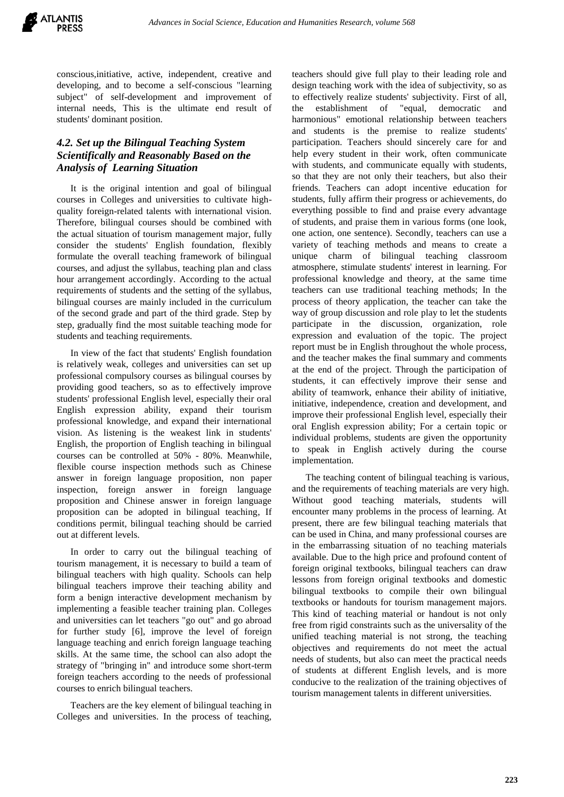conscious,initiative, active, independent, creative and developing, and to become a self-conscious "learning subject" of self-development and improvement of internal needs, This is the ultimate end result of students' dominant position.

# *4.2. Set up the Bilingual Teaching System Scientifically and Reasonably Based on the Analysis of Learning Situation*

It is the original intention and goal of bilingual courses in Colleges and universities to cultivate highquality foreign-related talents with international vision. Therefore, bilingual courses should be combined with the actual situation of tourism management major, fully consider the students' English foundation, flexibly formulate the overall teaching framework of bilingual courses, and adjust the syllabus, teaching plan and class hour arrangement accordingly. According to the actual requirements of students and the setting of the syllabus, bilingual courses are mainly included in the curriculum of the second grade and part of the third grade. Step by step, gradually find the most suitable teaching mode for students and teaching requirements.

In view of the fact that students' English foundation is relatively weak, colleges and universities can set up professional compulsory courses as bilingual courses by providing good teachers, so as to effectively improve students' professional English level, especially their oral English expression ability, expand their tourism professional knowledge, and expand their international vision. As listening is the weakest link in students' English, the proportion of English teaching in bilingual courses can be controlled at 50% - 80%. Meanwhile, flexible course inspection methods such as Chinese answer in foreign language proposition, non paper inspection, foreign answer in foreign language proposition and Chinese answer in foreign language proposition can be adopted in bilingual teaching, If conditions permit, bilingual teaching should be carried out at different levels.

In order to carry out the bilingual teaching of tourism management, it is necessary to build a team of bilingual teachers with high quality. Schools can help bilingual teachers improve their teaching ability and form a benign interactive development mechanism by implementing a feasible teacher training plan. Colleges and universities can let teachers "go out" and go abroad for further study [6], improve the level of foreign language teaching and enrich foreign language teaching skills. At the same time, the school can also adopt the strategy of "bringing in" and introduce some short-term foreign teachers according to the needs of professional courses to enrich bilingual teachers.

Teachers are the key element of bilingual teaching in Colleges and universities. In the process of teaching,

teachers should give full play to their leading role and design teaching work with the idea of subjectivity, so as to effectively realize students' subjectivity. First of all, the establishment of "equal, democratic harmonious" emotional relationship between teachers and students is the premise to realize students' participation. Teachers should sincerely care for and help every student in their work, often communicate with students, and communicate equally with students, so that they are not only their teachers, but also their friends. Teachers can adopt incentive education for students, fully affirm their progress or achievements, do everything possible to find and praise every advantage of students, and praise them in various forms (one look, one action, one sentence). Secondly, teachers can use a variety of teaching methods and means to create a unique charm of bilingual teaching classroom atmosphere, stimulate students' interest in learning. For professional knowledge and theory, at the same time teachers can use traditional teaching methods; In the process of theory application, the teacher can take the way of group discussion and role play to let the students participate in the discussion, organization, role expression and evaluation of the topic. The project report must be in English throughout the whole process, and the teacher makes the final summary and comments at the end of the project. Through the participation of students, it can effectively improve their sense and ability of teamwork, enhance their ability of initiative, initiative, independence, creation and development, and improve their professional English level, especially their oral English expression ability; For a certain topic or individual problems, students are given the opportunity to speak in English actively during the course implementation.

The teaching content of bilingual teaching is various, and the requirements of teaching materials are very high. Without good teaching materials, students will encounter many problems in the process of learning. At present, there are few bilingual teaching materials that can be used in China, and many professional courses are in the embarrassing situation of no teaching materials available. Due to the high price and profound content of foreign original textbooks, bilingual teachers can draw lessons from foreign original textbooks and domestic bilingual textbooks to compile their own bilingual textbooks or handouts for tourism management majors. This kind of teaching material or handout is not only free from rigid constraints such as the universality of the unified teaching material is not strong, the teaching objectives and requirements do not meet the actual needs of students, but also can meet the practical needs of students at different English levels, and is more conducive to the realization of the training objectives of tourism management talents in different universities.